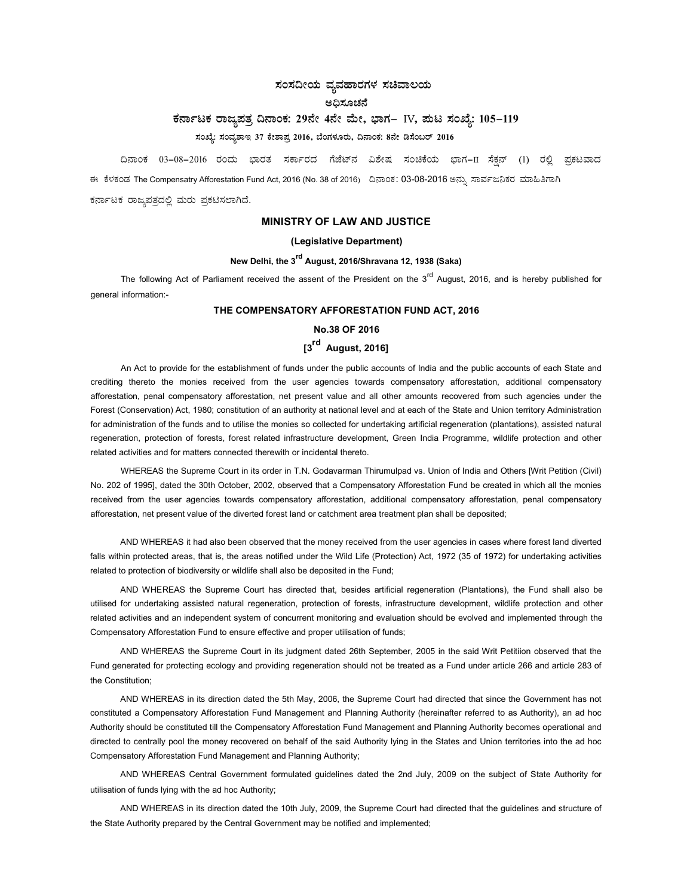# ಸಂಸದೀಯ ವ್ಯವಹಾರಗಳ ಸಚಿವಾಲಯ

# ಅದಿಸೂಚನೆ

# ಕರ್ನಾಟಕ ರಾಜ್ಯಪತ್ರ ದಿನಾಂಕ: 29ನೇ 4ನೇ ಮೇ, ಭಾಗ– IV, ಮಟ ಸಂಖ್ಯೆ: 105-119

# ಸಂಖ್ಯೆ: ಸಂವ್ಯಶಾಇ 37 ಕೇಶಾಪ್ರ 2016, ಬೆಂಗಳೂರು, ದಿನಾಂಕ: 8ನೇ ಡಿಸೆಂಬರ್ 2016

ದಿನಾಂಕ 03–08–2016 ರಂದು ಭಾರತ ಸರ್ಕಾರದ ಗೆಜೆಟ್ನ ವಿಶೇಷ ಸಂಚಿಕೆಯ ಭಾಗ−II ಸೆಕ್ಷನ್ (1) ರಲ್ಲಿ ಪ್ರಕಟವಾದ

ಈ ಕೆಳಕಂಡ The Compensatry Afforestation Fund Act, 2016 (No. 38 of 2016) ದಿನಾಂಕ: 03-08-2016 ಅನ್ಪು ಸಾರ್ವಜನಿಕರ ಮಾಹಿತಿಗಾಗಿ

ಕರ್ನಾಟಕ ರಾಜ್ಯಪತ್ರದಲ್ಲಿ ಮರು ಪ್ರಕಟಿಸಲಾಗಿದೆ.

## MINISTRY OF LAW AND JUSTICE

### (Legislative Department)

# New Delhi, the 3<sup>rd</sup> August, 2016/Shravana 12, 1938 (Saka)

The following Act of Parliament received the assent of the President on the  $3<sup>rd</sup>$  August, 2016, and is hereby published for general information:-

### THE COMPENSATORY AFFORESTATION FUND ACT, 2016

# No.38 OF 2016

# [3<sup>rd</sup> August, 2016]

An Act to provide for the establishment of funds under the public accounts of India and the public accounts of each State and crediting thereto the monies received from the user agencies towards compensatory afforestation, additional compensatory afforestation, penal compensatory afforestation, net present value and all other amounts recovered from such agencies under the Forest (Conservation) Act, 1980; constitution of an authority at national level and at each of the State and Union territory Administration for administration of the funds and to utilise the monies so collected for undertaking artificial regeneration (plantations), assisted natural regeneration, protection of forests, forest related infrastructure development, Green India Programme, wildlife protection and other related activities and for matters connected therewith or incidental thereto.

WHEREAS the Supreme Court in its order in T.N. Godavarman Thirumulpad vs. Union of India and Others [Writ Petition (Civil) No. 202 of 1995], dated the 30th October, 2002, observed that a Compensatory Afforestation Fund be created in which all the monies received from the user agencies towards compensatory afforestation, additional compensatory afforestation, penal compensatory afforestation, net present value of the diverted forest land or catchment area treatment plan shall be deposited;

AND WHEREAS it had also been observed that the money received from the user agencies in cases where forest land diverted falls within protected areas, that is, the areas notified under the Wild Life (Protection) Act, 1972 (35 of 1972) for undertaking activities related to protection of biodiversity or wildlife shall also be deposited in the Fund;

AND WHEREAS the Supreme Court has directed that, besides artificial regeneration (Plantations), the Fund shall also be utilised for undertaking assisted natural regeneration, protection of forests, infrastructure development, wildlife protection and other related activities and an independent system of concurrent monitoring and evaluation should be evolved and implemented through the Compensatory Afforestation Fund to ensure effective and proper utilisation of funds;

AND WHEREAS the Supreme Court in its judgment dated 26th September, 2005 in the said Writ Petitiion observed that the Fund generated for protecting ecology and providing regeneration should not be treated as a Fund under article 266 and article 283 of the Constitution;

AND WHEREAS in its direction dated the 5th May, 2006, the Supreme Court had directed that since the Government has not constituted a Compensatory Afforestation Fund Management and Planning Authority (hereinafter referred to as Authority), an ad hoc Authority should be constituted till the Compensatory Afforestation Fund Management and Planning Authority becomes operational and directed to centrally pool the money recovered on behalf of the said Authority lying in the States and Union territories into the ad hoc Compensatory Afforestation Fund Management and Planning Authority;

AND WHEREAS Central Government formulated guidelines dated the 2nd July, 2009 on the subject of State Authority for utilisation of funds lying with the ad hoc Authority;

AND WHEREAS in its direction dated the 10th July, 2009, the Supreme Court had directed that the guidelines and structure of the State Authority prepared by the Central Government may be notified and implemented;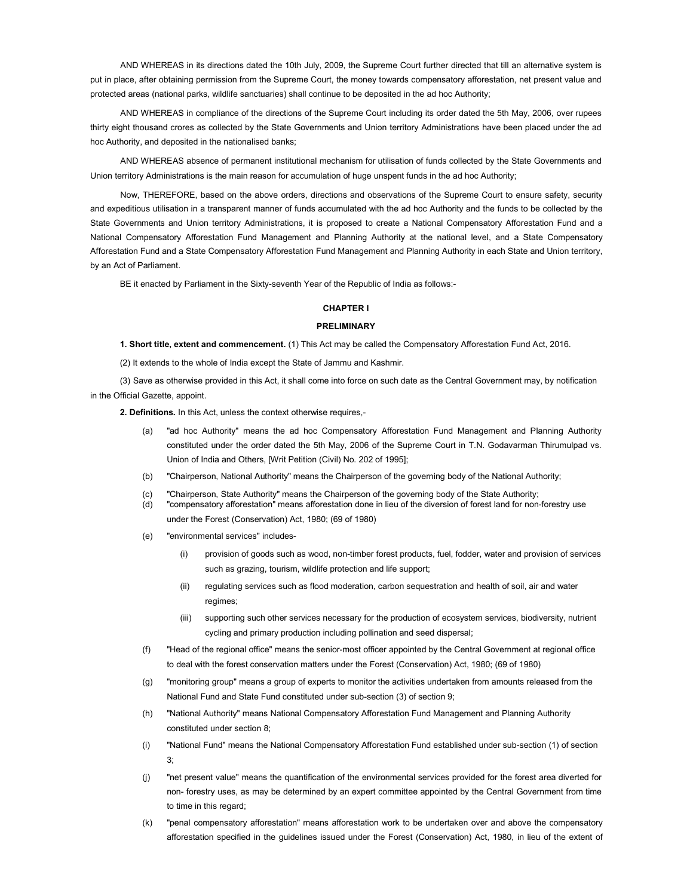AND WHEREAS in its directions dated the 10th July, 2009, the Supreme Court further directed that till an alternative system is put in place, after obtaining permission from the Supreme Court, the money towards compensatory afforestation, net present value and protected areas (national parks, wildlife sanctuaries) shall continue to be deposited in the ad hoc Authority;

AND WHEREAS in compliance of the directions of the Supreme Court including its order dated the 5th May, 2006, over rupees thirty eight thousand crores as collected by the State Governments and Union territory Administrations have been placed under the ad hoc Authority, and deposited in the nationalised banks;

AND WHEREAS absence of permanent institutional mechanism for utilisation of funds collected by the State Governments and Union territory Administrations is the main reason for accumulation of huge unspent funds in the ad hoc Authority;

Now, THEREFORE, based on the above orders, directions and observations of the Supreme Court to ensure safety, security and expeditious utilisation in a transparent manner of funds accumulated with the ad hoc Authority and the funds to be collected by the State Governments and Union territory Administrations, it is proposed to create a National Compensatory Afforestation Fund and a National Compensatory Afforestation Fund Management and Planning Authority at the national level, and a State Compensatory Afforestation Fund and a State Compensatory Afforestation Fund Management and Planning Authority in each State and Union territory, by an Act of Parliament.

BE it enacted by Parliament in the Sixty-seventh Year of the Republic of India as follows:-

### CHAPTER I

#### PRELIMINARY

1. Short title, extent and commencement. (1) This Act may be called the Compensatory Afforestation Fund Act, 2016.

(2) It extends to the whole of India except the State of Jammu and Kashmir.

(3) Save as otherwise provided in this Act, it shall come into force on such date as the Central Government may, by notification in the Official Gazette, appoint.

2. Definitions. In this Act, unless the context otherwise requires,-

- (a) "ad hoc Authority" means the ad hoc Compensatory Afforestation Fund Management and Planning Authority constituted under the order dated the 5th May, 2006 of the Supreme Court in T.N. Godavarman Thirumulpad vs. Union of India and Others, [Writ Petition (Civil) No. 202 of 1995];
- (b) "Chairperson, National Authority" means the Chairperson of the governing body of the National Authority;
- (c) "Chairperson, State Authority" means the Chairperson of the governing body of the State Authority;
- (d) "compensatory afforestation" means afforestation done in lieu of the diversion of forest land for non-forestry use under the Forest (Conservation) Act, 1980; (69 of 1980)
- (e) "environmental services" includes-
	- (i) provision of goods such as wood, non-timber forest products, fuel, fodder, water and provision of services such as grazing, tourism, wildlife protection and life support;
	- (ii) regulating services such as flood moderation, carbon sequestration and health of soil, air and water regimes;
	- (iii) supporting such other services necessary for the production of ecosystem services, biodiversity, nutrient cycling and primary production including pollination and seed dispersal;
- (f) "Head of the regional office" means the senior-most officer appointed by the Central Government at regional office to deal with the forest conservation matters under the Forest (Conservation) Act, 1980; (69 of 1980)
- (g) "monitoring group" means a group of experts to monitor the activities undertaken from amounts released from the National Fund and State Fund constituted under sub-section (3) of section 9;
- (h) "National Authority" means National Compensatory Afforestation Fund Management and Planning Authority constituted under section 8;
- (i) "National Fund" means the National Compensatory Afforestation Fund established under sub-section (1) of section 3;
- (j) "net present value" means the quantification of the environmental services provided for the forest area diverted for non- forestry uses, as may be determined by an expert committee appointed by the Central Government from time to time in this regard;
- (k) "penal compensatory afforestation" means afforestation work to be undertaken over and above the compensatory afforestation specified in the guidelines issued under the Forest (Conservation) Act, 1980, in lieu of the extent of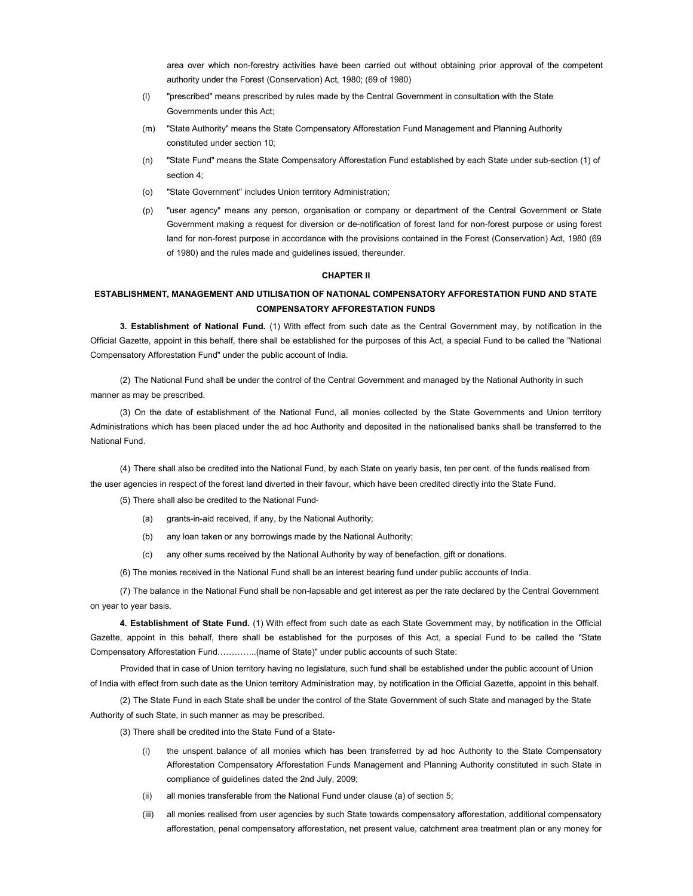area over which non-forestry activities have been carried out without obtaining prior approval of the competent authority under the Forest (Conservation) Act, 1980; (69 of 1980)

- (l) "prescribed" means prescribed by rules made by the Central Government in consultation with the State Governments under this Act;
- (m) "State Authority" means the State Compensatory Afforestation Fund Management and Planning Authority constituted under section 10;
- (n) "State Fund" means the State Compensatory Afforestation Fund established by each State under sub-section (1) of section 4;
- (o) "State Government" includes Union territory Administration;
- (p) "user agency" means any person, organisation or company or department of the Central Government or State Government making a request for diversion or de-notification of forest land for non-forest purpose or using forest land for non-forest purpose in accordance with the provisions contained in the Forest (Conservation) Act, 1980 (69 of 1980) and the rules made and guidelines issued, thereunder.

### CHAPTER II

# ESTABLISHMENT, MANAGEMENT AND UTILISATION OF NATIONAL COMPENSATORY AFFORESTATION FUND AND STATE COMPENSATORY AFFORESTATION FUNDS

3. Establishment of National Fund. (1) With effect from such date as the Central Government may, by notification in the Official Gazette, appoint in this behalf, there shall be established for the purposes of this Act, a special Fund to be called the "National Compensatory Afforestation Fund" under the public account of India.

(2) The National Fund shall be under the control of the Central Government and managed by the National Authority in such manner as may be prescribed.

(3) On the date of establishment of the National Fund, all monies collected by the State Governments and Union territory Administrations which has been placed under the ad hoc Authority and deposited in the nationalised banks shall be transferred to the National Fund.

(4) There shall also be credited into the National Fund, by each State on yearly basis, ten per cent. of the funds realised from the user agencies in respect of the forest land diverted in their favour, which have been credited directly into the State Fund.

(5) There shall also be credited to the National Fund-

- (a) grants-in-aid received, if any, by the National Authority;
- (b) any loan taken or any borrowings made by the National Authority;
- (c) any other sums received by the National Authority by way of benefaction, gift or donations.

(6) The monies received in the National Fund shall be an interest bearing fund under public accounts of India.

(7) The balance in the National Fund shall be non-lapsable and get interest as per the rate declared by the Central Government on year to year basis.

4. Establishment of State Fund. (1) With effect from such date as each State Government may, by notification in the Official Gazette, appoint in this behalf, there shall be established for the purposes of this Act, a special Fund to be called the "State Compensatory Afforestation Fund…………..(name of State)" under public accounts of such State:

Provided that in case of Union territory having no legislature, such fund shall be established under the public account of Union of India with effect from such date as the Union territory Administration may, by notification in the Official Gazette, appoint in this behalf.

(2) The State Fund in each State shall be under the control of the State Government of such State and managed by the State Authority of such State, in such manner as may be prescribed.

(3) There shall be credited into the State Fund of a State-

- (i) the unspent balance of all monies which has been transferred by ad hoc Authority to the State Compensatory Afforestation Compensatory Afforestation Funds Management and Planning Authority constituted in such State in compliance of guidelines dated the 2nd July, 2009;
- (ii) all monies transferable from the National Fund under clause (a) of section 5;
- (iii) all monies realised from user agencies by such State towards compensatory afforestation, additional compensatory afforestation, penal compensatory afforestation, net present value, catchment area treatment plan or any money for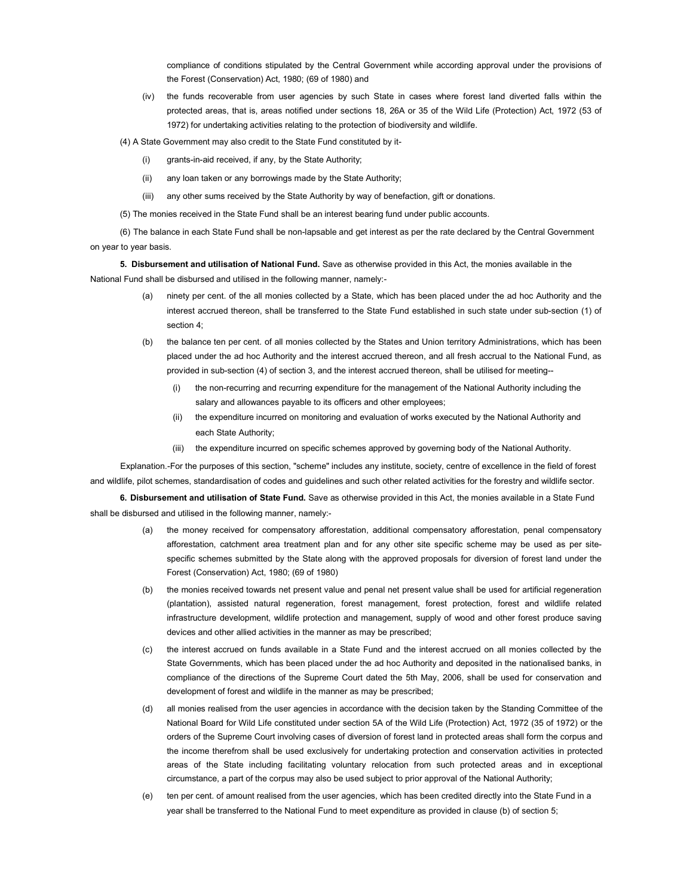compliance of conditions stipulated by the Central Government while according approval under the provisions of the Forest (Conservation) Act, 1980; (69 of 1980) and

- (iv) the funds recoverable from user agencies by such State in cases where forest land diverted falls within the protected areas, that is, areas notified under sections 18, 26A or 35 of the Wild Life (Protection) Act, 1972 (53 of 1972) for undertaking activities relating to the protection of biodiversity and wildlife.
- (4) A State Government may also credit to the State Fund constituted by it-
	- (i) grants-in-aid received, if any, by the State Authority;
	- (ii) any loan taken or any borrowings made by the State Authority;
	- (iii) any other sums received by the State Authority by way of benefaction, gift or donations.
- (5) The monies received in the State Fund shall be an interest bearing fund under public accounts.

(6) The balance in each State Fund shall be non-lapsable and get interest as per the rate declared by the Central Government on year to year basis.

5. Disbursement and utilisation of National Fund. Save as otherwise provided in this Act, the monies available in the National Fund shall be disbursed and utilised in the following manner, namely:-

- (a) ninety per cent. of the all monies collected by a State, which has been placed under the ad hoc Authority and the interest accrued thereon, shall be transferred to the State Fund established in such state under sub-section (1) of section 4;
- (b) the balance ten per cent. of all monies collected by the States and Union territory Administrations, which has been placed under the ad hoc Authority and the interest accrued thereon, and all fresh accrual to the National Fund, as provided in sub-section (4) of section 3, and the interest accrued thereon, shall be utilised for meeting--
	- (i) the non-recurring and recurring expenditure for the management of the National Authority including the salary and allowances payable to its officers and other employees;
	- (ii) the expenditure incurred on monitoring and evaluation of works executed by the National Authority and each State Authority;
	- (iii) the expenditure incurred on specific schemes approved by governing body of the National Authority.

Explanation.-For the purposes of this section, "scheme" includes any institute, society, centre of excellence in the field of forest and wildlife, pilot schemes, standardisation of codes and guidelines and such other related activities for the forestry and wildlife sector.

6. Disbursement and utilisation of State Fund. Save as otherwise provided in this Act, the monies available in a State Fund shall be disbursed and utilised in the following manner, namely:-

- (a) the money received for compensatory afforestation, additional compensatory afforestation, penal compensatory afforestation, catchment area treatment plan and for any other site specific scheme may be used as per sitespecific schemes submitted by the State along with the approved proposals for diversion of forest land under the Forest (Conservation) Act, 1980; (69 of 1980)
- (b) the monies received towards net present value and penal net present value shall be used for artificial regeneration (plantation), assisted natural regeneration, forest management, forest protection, forest and wildlife related infrastructure development, wildlife protection and management, supply of wood and other forest produce saving devices and other allied activities in the manner as may be prescribed;
- (c) the interest accrued on funds available in a State Fund and the interest accrued on all monies collected by the State Governments, which has been placed under the ad hoc Authority and deposited in the nationalised banks, in compliance of the directions of the Supreme Court dated the 5th May, 2006, shall be used for conservation and development of forest and wildlife in the manner as may be prescribed;
- (d) all monies realised from the user agencies in accordance with the decision taken by the Standing Committee of the National Board for Wild Life constituted under section 5A of the Wild Life (Protection) Act, 1972 (35 of 1972) or the orders of the Supreme Court involving cases of diversion of forest land in protected areas shall form the corpus and the income therefrom shall be used exclusively for undertaking protection and conservation activities in protected areas of the State including facilitating voluntary relocation from such protected areas and in exceptional circumstance, a part of the corpus may also be used subject to prior approval of the National Authority;
- (e) ten per cent. of amount realised from the user agencies, which has been credited directly into the State Fund in a year shall be transferred to the National Fund to meet expenditure as provided in clause (b) of section 5;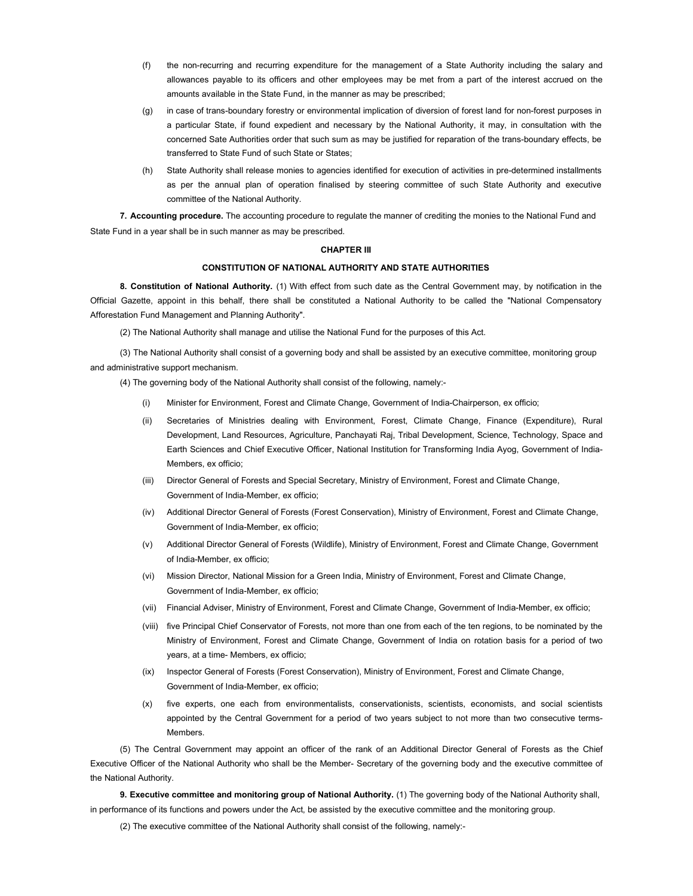- (f) the non-recurring and recurring expenditure for the management of a State Authority including the salary and allowances payable to its officers and other employees may be met from a part of the interest accrued on the amounts available in the State Fund, in the manner as may be prescribed;
- (g) in case of trans-boundary forestry or environmental implication of diversion of forest land for non-forest purposes in a particular State, if found expedient and necessary by the National Authority, it may, in consultation with the concerned Sate Authorities order that such sum as may be justified for reparation of the trans-boundary effects, be transferred to State Fund of such State or States;
- (h) State Authority shall release monies to agencies identified for execution of activities in pre-determined installments as per the annual plan of operation finalised by steering committee of such State Authority and executive committee of the National Authority.

7. Accounting procedure. The accounting procedure to regulate the manner of crediting the monies to the National Fund and State Fund in a year shall be in such manner as may be prescribed.

#### CHAPTER III

### CONSTITUTION OF NATIONAL AUTHORITY AND STATE AUTHORITIES

8. Constitution of National Authority. (1) With effect from such date as the Central Government may, by notification in the Official Gazette, appoint in this behalf, there shall be constituted a National Authority to be called the "National Compensatory Afforestation Fund Management and Planning Authority".

(2) The National Authority shall manage and utilise the National Fund for the purposes of this Act.

(3) The National Authority shall consist of a governing body and shall be assisted by an executive committee, monitoring group and administrative support mechanism.

(4) The governing body of the National Authority shall consist of the following, namely:-

- (i) Minister for Environment, Forest and Climate Change, Government of India-Chairperson, ex officio;
- (ii) Secretaries of Ministries dealing with Environment, Forest, Climate Change, Finance (Expenditure), Rural Development, Land Resources, Agriculture, Panchayati Raj, Tribal Development, Science, Technology, Space and Earth Sciences and Chief Executive Officer, National Institution for Transforming India Ayog, Government of India-Members, ex officio;
- (iii) Director General of Forests and Special Secretary, Ministry of Environment, Forest and Climate Change, Government of India-Member, ex officio;
- (iv) Additional Director General of Forests (Forest Conservation), Ministry of Environment, Forest and Climate Change, Government of India-Member, ex officio;
- (v) Additional Director General of Forests (Wildlife), Ministry of Environment, Forest and Climate Change, Government of India-Member, ex officio;
- (vi) Mission Director, National Mission for a Green India, Ministry of Environment, Forest and Climate Change, Government of India-Member, ex officio;
- (vii) Financial Adviser, Ministry of Environment, Forest and Climate Change, Government of India-Member, ex officio;
- (viii) five Principal Chief Conservator of Forests, not more than one from each of the ten regions, to be nominated by the Ministry of Environment, Forest and Climate Change, Government of India on rotation basis for a period of two years, at a time- Members, ex officio;
- (ix) Inspector General of Forests (Forest Conservation), Ministry of Environment, Forest and Climate Change, Government of India-Member, ex officio;
- (x) five experts, one each from environmentalists, conservationists, scientists, economists, and social scientists appointed by the Central Government for a period of two years subject to not more than two consecutive terms-Members.

(5) The Central Government may appoint an officer of the rank of an Additional Director General of Forests as the Chief Executive Officer of the National Authority who shall be the Member- Secretary of the governing body and the executive committee of the National Authority.

9. Executive committee and monitoring group of National Authority. (1) The governing body of the National Authority shall, in performance of its functions and powers under the Act, be assisted by the executive committee and the monitoring group.

(2) The executive committee of the National Authority shall consist of the following, namely:-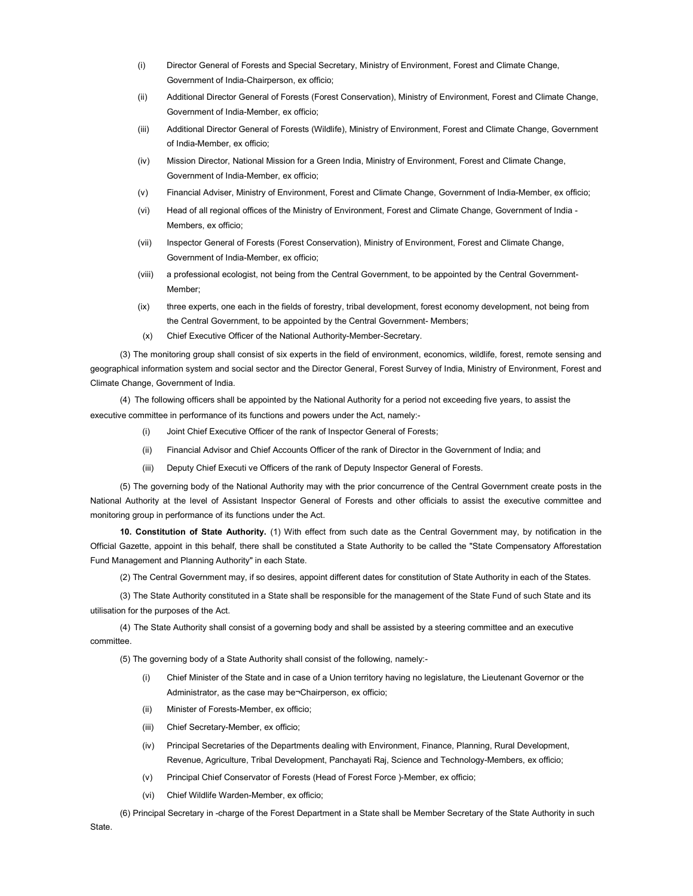- (i) Director General of Forests and Special Secretary, Ministry of Environment, Forest and Climate Change, Government of India-Chairperson, ex officio;
- (ii) Additional Director General of Forests (Forest Conservation), Ministry of Environment, Forest and Climate Change, Government of India-Member, ex officio;
- (iii) Additional Director General of Forests (Wildlife), Ministry of Environment, Forest and Climate Change, Government of India-Member, ex officio;
- (iv) Mission Director, National Mission for a Green India, Ministry of Environment, Forest and Climate Change, Government of India-Member, ex officio;
- (v) Financial Adviser, Ministry of Environment, Forest and Climate Change, Government of India-Member, ex officio;
- (vi) Head of all regional offices of the Ministry of Environment, Forest and Climate Change, Government of India Members, ex officio;
- (vii) Inspector General of Forests (Forest Conservation), Ministry of Environment, Forest and Climate Change, Government of India-Member, ex officio;
- (viii) a professional ecologist, not being from the Central Government, to be appointed by the Central Government-Member;
- (ix) three experts, one each in the fields of forestry, tribal development, forest economy development, not being from the Central Government, to be appointed by the Central Government- Members;
- (x) Chief Executive Officer of the National Authority-Member-Secretary.

(3) The monitoring group shall consist of six experts in the field of environment, economics, wildlife, forest, remote sensing and geographical information system and social sector and the Director General, Forest Survey of India, Ministry of Environment, Forest and Climate Change, Government of India.

(4) The following officers shall be appointed by the National Authority for a period not exceeding five years, to assist the executive committee in performance of its functions and powers under the Act, namely:-

- (i) Joint Chief Executive Officer of the rank of Inspector General of Forests;
- (ii) Financial Advisor and Chief Accounts Officer of the rank of Director in the Government of India; and
- (iii) Deputy Chief Executi ve Officers of the rank of Deputy Inspector General of Forests.

(5) The governing body of the National Authority may with the prior concurrence of the Central Government create posts in the National Authority at the level of Assistant Inspector General of Forests and other officials to assist the executive committee and monitoring group in performance of its functions under the Act.

10. Constitution of State Authority. (1) With effect from such date as the Central Government may, by notification in the Official Gazette, appoint in this behalf, there shall be constituted a State Authority to be called the "State Compensatory Afforestation Fund Management and Planning Authority" in each State.

(2) The Central Government may, if so desires, appoint different dates for constitution of State Authority in each of the States.

(3) The State Authority constituted in a State shall be responsible for the management of the State Fund of such State and its utilisation for the purposes of the Act.

(4) The State Authority shall consist of a governing body and shall be assisted by a steering committee and an executive committee.

(5) The governing body of a State Authority shall consist of the following, namely:-

- (i) Chief Minister of the State and in case of a Union territory having no legislature, the Lieutenant Governor or the Administrator, as the case may be¬Chairperson, ex officio;
- (ii) Minister of Forests-Member, ex officio;
- (iii) Chief Secretary-Member, ex officio;
- (iv) Principal Secretaries of the Departments dealing with Environment, Finance, Planning, Rural Development, Revenue, Agriculture, Tribal Development, Panchayati Raj, Science and Technology-Members, ex officio;
- (v) Principal Chief Conservator of Forests (Head of Forest Force )-Member, ex officio;
- (vi) Chief Wildlife Warden-Member, ex officio;

(6) Principal Secretary in -charge of the Forest Department in a State shall be Member Secretary of the State Authority in such State.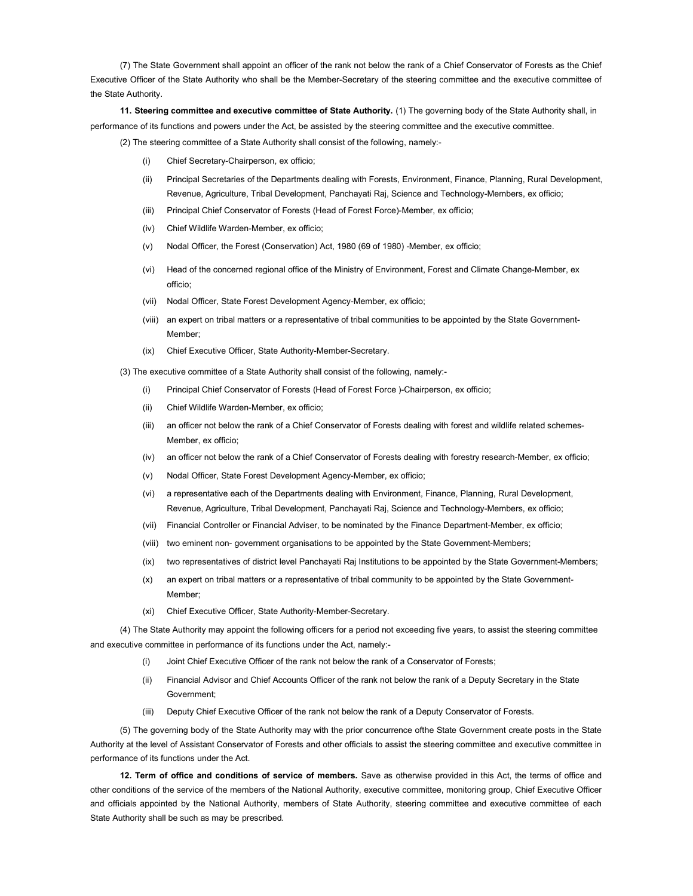(7) The State Government shall appoint an officer of the rank not below the rank of a Chief Conservator of Forests as the Chief Executive Officer of the State Authority who shall be the Member-Secretary of the steering committee and the executive committee of the State Authority.

11. Steering committee and executive committee of State Authority. (1) The governing body of the State Authority shall, in performance of its functions and powers under the Act, be assisted by the steering committee and the executive committee.

(2) The steering committee of a State Authority shall consist of the following, namely:-

- Chief Secretary-Chairperson, ex officio;
- (ii) Principal Secretaries of the Departments dealing with Forests, Environment, Finance, Planning, Rural Development, Revenue, Agriculture, Tribal Development, Panchayati Raj, Science and Technology-Members, ex officio;
- (iii) Principal Chief Conservator of Forests (Head of Forest Force)-Member, ex officio;
- (iv) Chief Wildlife Warden-Member, ex officio;
- (v) Nodal Officer, the Forest (Conservation) Act, 1980 (69 of 1980) -Member, ex officio;
- (vi) Head of the concerned regional office of the Ministry of Environment, Forest and Climate Change-Member, ex officio;
- (vii) Nodal Officer, State Forest Development Agency-Member, ex officio;
- (viii) an expert on tribal matters or a representative of tribal communities to be appointed by the State Government-Member;
- (ix) Chief Executive Officer, State Authority-Member-Secretary.

(3) The executive committee of a State Authority shall consist of the following, namely:-

- (i) Principal Chief Conservator of Forests (Head of Forest Force )-Chairperson, ex officio;
- (ii) Chief Wildlife Warden-Member, ex officio;
- (iii) an officer not below the rank of a Chief Conservator of Forests dealing with forest and wildlife related schemes-Member, ex officio;
- (iv) an officer not below the rank of a Chief Conservator of Forests dealing with forestry research-Member, ex officio;
- (v) Nodal Officer, State Forest Development Agency-Member, ex officio;
- (vi) a representative each of the Departments dealing with Environment, Finance, Planning, Rural Development, Revenue, Agriculture, Tribal Development, Panchayati Raj, Science and Technology-Members, ex officio;
- (vii) Financial Controller or Financial Adviser, to be nominated by the Finance Department-Member, ex officio;
- (viii) two eminent non- government organisations to be appointed by the State Government-Members;
- (ix) two representatives of district level Panchayati Raj Institutions to be appointed by the State Government-Members;
- (x) an expert on tribal matters or a representative of tribal community to be appointed by the State Government-Member;
- (xi) Chief Executive Officer, State Authority-Member-Secretary.

(4) The State Authority may appoint the following officers for a period not exceeding five years, to assist the steering committee and executive committee in performance of its functions under the Act, namely:-

- (i) Joint Chief Executive Officer of the rank not below the rank of a Conservator of Forests;
- (ii) Financial Advisor and Chief Accounts Officer of the rank not below the rank of a Deputy Secretary in the State Government;
- (iii) Deputy Chief Executive Officer of the rank not below the rank of a Deputy Conservator of Forests.

(5) The governing body of the State Authority may with the prior concurrence ofthe State Government create posts in the State Authority at the level of Assistant Conservator of Forests and other officials to assist the steering committee and executive committee in performance of its functions under the Act.

12. Term of office and conditions of service of members. Save as otherwise provided in this Act, the terms of office and other conditions of the service of the members of the National Authority, executive committee, monitoring group, Chief Executive Officer and officials appointed by the National Authority, members of State Authority, steering committee and executive committee of each State Authority shall be such as may be prescribed.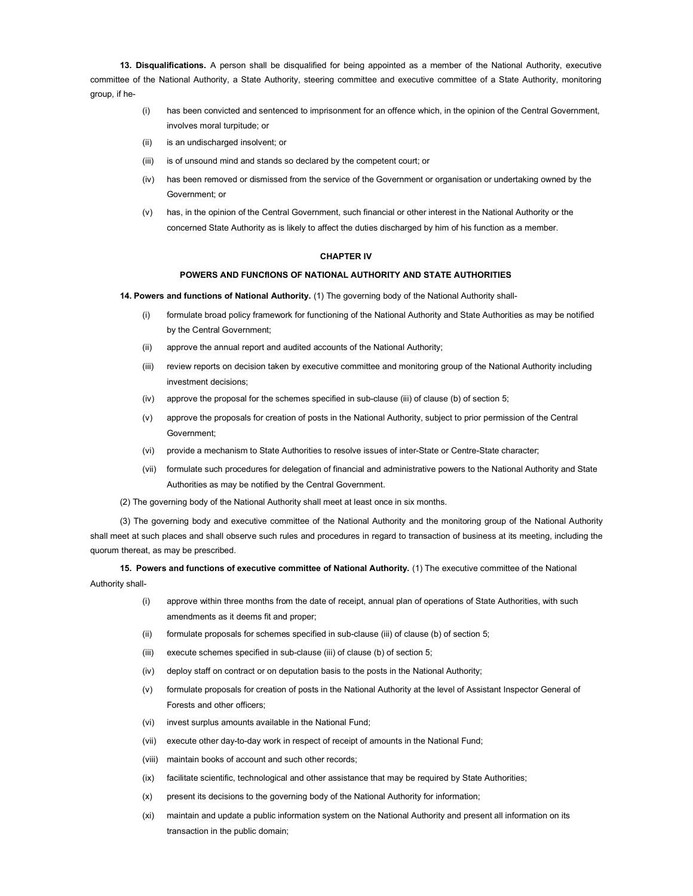13. Disqualifications. A person shall be disqualified for being appointed as a member of the National Authority, executive committee of the National Authority, a State Authority, steering committee and executive committee of a State Authority, monitoring group, if he-

- (i) has been convicted and sentenced to imprisonment for an offence which, in the opinion of the Central Government, involves moral turpitude; or
- (ii) is an undischarged insolvent; or
- (iii) is of unsound mind and stands so declared by the competent court; or
- (iv) has been removed or dismissed from the service of the Government or organisation or undertaking owned by the Government; or
- (v) has, in the opinion of the Central Government, such financial or other interest in the National Authority or the concerned State Authority as is likely to affect the duties discharged by him of his function as a member.

#### CHAPTER IV

## POWERS AND FUNCfIONS OF NATIONAL AUTHORITY AND STATE AUTHORITIES

14. Powers and functions of National Authority. (1) The governing body of the National Authority shall-

- (i) formulate broad policy framework for functioning of the National Authority and State Authorities as may be notified by the Central Government;
- (ii) approve the annual report and audited accounts of the National Authority;
- (iii) review reports on decision taken by executive committee and monitoring group of the National Authority including investment decisions;
- (iv) approve the proposal for the schemes specified in sub-clause (iii) of clause (b) of section 5;
- (v) approve the proposals for creation of posts in the National Authority, subject to prior permission of the Central Government;
- (vi) provide a mechanism to State Authorities to resolve issues of inter-State or Centre-State character;
- (vii) formulate such procedures for delegation of financial and administrative powers to the National Authority and State Authorities as may be notified by the Central Government.
- (2) The governing body of the National Authority shall meet at least once in six months.

(3) The governing body and executive committee of the National Authority and the monitoring group of the National Authority shall meet at such places and shall observe such rules and procedures in regard to transaction of business at its meeting, including the quorum thereat, as may be prescribed.

15. Powers and functions of executive committee of National Authority. (1) The executive committee of the National Authority shall-

- (i) approve within three months from the date of receipt, annual plan of operations of State Authorities, with such amendments as it deems fit and proper;
- (ii) formulate proposals for schemes specified in sub-clause (iii) of clause (b) of section 5;
- (iii) execute schemes specified in sub-clause (iii) of clause (b) of section 5;
- (iv) deploy staff on contract or on deputation basis to the posts in the National Authority;
- (v) formulate proposals for creation of posts in the National Authority at the level of Assistant Inspector General of Forests and other officers;
- (vi) invest surplus amounts available in the National Fund;
- (vii) execute other day-to-day work in respect of receipt of amounts in the National Fund;
- (viii) maintain books of account and such other records;
- (ix) facilitate scientific, technological and other assistance that may be required by State Authorities;
- (x) present its decisions to the governing body of the National Authority for information;
- (xi) maintain and update a public information system on the National Authority and present all information on its transaction in the public domain;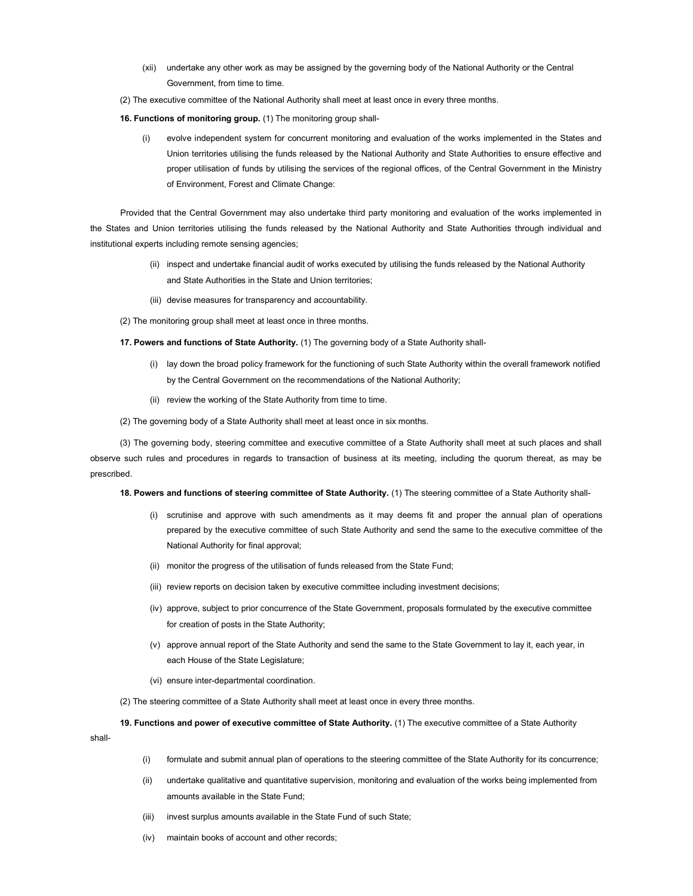- (xii) undertake any other work as may be assigned by the governing body of the National Authority or the Central Government, from time to time.
- (2) The executive committee of the National Authority shall meet at least once in every three months.

16. Functions of monitoring group. (1) The monitoring group shall-

(i) evolve independent system for concurrent monitoring and evaluation of the works implemented in the States and Union territories utilising the funds released by the National Authority and State Authorities to ensure effective and proper utilisation of funds by utilising the services of the regional offices, of the Central Government in the Ministry of Environment, Forest and Climate Change:

Provided that the Central Government may also undertake third party monitoring and evaluation of the works implemented in the States and Union territories utilising the funds released by the National Authority and State Authorities through individual and institutional experts including remote sensing agencies;

- (ii) inspect and undertake financial audit of works executed by utilising the funds released by the National Authority and State Authorities in the State and Union territories;
- (iii) devise measures for transparency and accountability.
- (2) The monitoring group shall meet at least once in three months.

17. Powers and functions of State Authority. (1) The governing body of a State Authority shall-

- (i) lay down the broad policy framework for the functioning of such State Authority within the overall framework notified by the Central Government on the recommendations of the National Authority;
- (ii) review the working of the State Authority from time to time.
- (2) The governing body of a State Authority shall meet at least once in six months.

(3) The governing body, steering committee and executive committee of a State Authority shall meet at such places and shall observe such rules and procedures in regards to transaction of business at its meeting, including the quorum thereat, as may be prescribed.

18. Powers and functions of steering committee of State Authority. (1) The steering committee of a State Authority shall-

- (i) scrutinise and approve with such amendments as it may deems fit and proper the annual plan of operations prepared by the executive committee of such State Authority and send the same to the executive committee of the National Authority for final approval;
- (ii) monitor the progress of the utilisation of funds released from the State Fund;
- (iii) review reports on decision taken by executive committee including investment decisions;
- (iv) approve, subject to prior concurrence of the State Government, proposals formulated by the executive committee for creation of posts in the State Authority;
- (v) approve annual report of the State Authority and send the same to the State Government to lay it, each year, in each House of the State Legislature;
- (vi) ensure inter-departmental coordination.
- (2) The steering committee of a State Authority shall meet at least once in every three months.

19. Functions and power of executive committee of State Authority. (1) The executive committee of a State Authority

shall-

- (i) formulate and submit annual plan of operations to the steering committee of the State Authority for its concurrence;
- (ii) undertake qualitative and quantitative supervision, monitoring and evaluation of the works being implemented from amounts available in the State Fund;
- (iii) invest surplus amounts available in the State Fund of such State;
- (iv) maintain books of account and other records;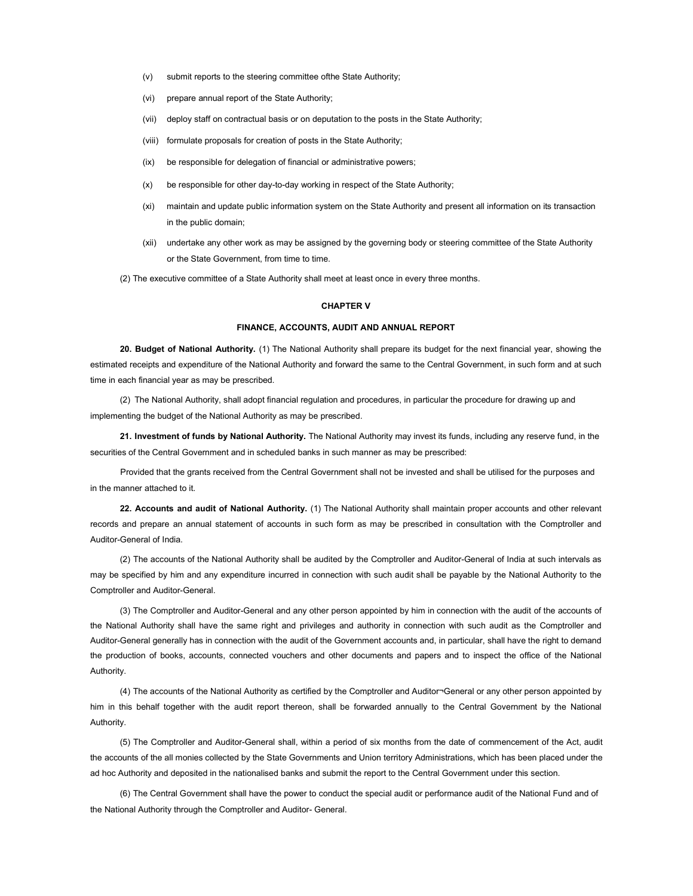- (v) submit reports to the steering committee ofthe State Authority;
- (vi) prepare annual report of the State Authority;
- (vii) deploy staff on contractual basis or on deputation to the posts in the State Authority;
- (viii) formulate proposals for creation of posts in the State Authority;
- (ix) be responsible for delegation of financial or administrative powers;
- (x) be responsible for other day-to-day working in respect of the State Authority;
- (xi) maintain and update public information system on the State Authority and present all information on its transaction in the public domain;
- (xii) undertake any other work as may be assigned by the governing body or steering committee of the State Authority or the State Government, from time to time.

(2) The executive committee of a State Authority shall meet at least once in every three months.

### CHAPTER V

#### FINANCE, ACCOUNTS, AUDIT AND ANNUAL REPORT

20. Budget of National Authority. (1) The National Authority shall prepare its budget for the next financial year, showing the estimated receipts and expenditure of the National Authority and forward the same to the Central Government, in such form and at such time in each financial year as may be prescribed.

(2) The National Authority, shall adopt financial regulation and procedures, in particular the procedure for drawing up and implementing the budget of the National Authority as may be prescribed.

21. Investment of funds by National Authority. The National Authority may invest its funds, including any reserve fund, in the securities of the Central Government and in scheduled banks in such manner as may be prescribed:

Provided that the grants received from the Central Government shall not be invested and shall be utilised for the purposes and in the manner attached to it.

22. Accounts and audit of National Authority. (1) The National Authority shall maintain proper accounts and other relevant records and prepare an annual statement of accounts in such form as may be prescribed in consultation with the Comptroller and Auditor-General of India.

(2) The accounts of the National Authority shall be audited by the Comptroller and Auditor-General of India at such intervals as may be specified by him and any expenditure incurred in connection with such audit shall be payable by the National Authority to the Comptroller and Auditor-General.

(3) The Comptroller and Auditor-General and any other person appointed by him in connection with the audit of the accounts of the National Authority shall have the same right and privileges and authority in connection with such audit as the Comptroller and Auditor-General generally has in connection with the audit of the Government accounts and, in particular, shall have the right to demand the production of books, accounts, connected vouchers and other documents and papers and to inspect the office of the National Authority.

(4) The accounts of the National Authority as certified by the Comptroller and Auditor¬General or any other person appointed by him in this behalf together with the audit report thereon, shall be forwarded annually to the Central Government by the National Authority.

(5) The Comptroller and Auditor-General shall, within a period of six months from the date of commencement of the Act, audit the accounts of the all monies collected by the State Governments and Union territory Administrations, which has been placed under the ad hoc Authority and deposited in the nationalised banks and submit the report to the Central Government under this section.

(6) The Central Government shall have the power to conduct the special audit or performance audit of the National Fund and of the National Authority through the Comptroller and Auditor- General.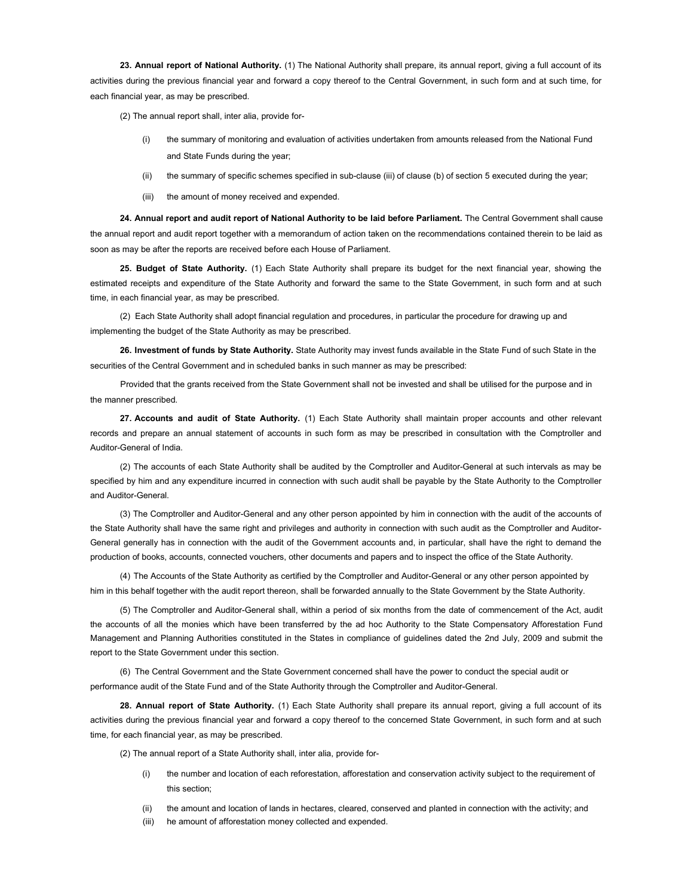23. Annual report of National Authority. (1) The National Authority shall prepare, its annual report, giving a full account of its activities during the previous financial year and forward a copy thereof to the Central Government, in such form and at such time, for each financial year, as may be prescribed.

(2) The annual report shall, inter alia, provide for-

- the summary of monitoring and evaluation of activities undertaken from amounts released from the National Fund and State Funds during the year;
- (ii) the summary of specific schemes specified in sub-clause (iii) of clause (b) of section 5 executed during the year;
- (iii) the amount of money received and expended.

24. Annual report and audit report of National Authority to be laid before Parliament. The Central Government shall cause the annual report and audit report together with a memorandum of action taken on the recommendations contained therein to be laid as soon as may be after the reports are received before each House of Parliament.

25. Budget of State Authority. (1) Each State Authority shall prepare its budget for the next financial year, showing the estimated receipts and expenditure of the State Authority and forward the same to the State Government, in such form and at such time, in each financial year, as may be prescribed.

(2) Each State Authority shall adopt financial regulation and procedures, in particular the procedure for drawing up and implementing the budget of the State Authority as may be prescribed.

26. Investment of funds by State Authority. State Authority may invest funds available in the State Fund of such State in the securities of the Central Government and in scheduled banks in such manner as may be prescribed:

Provided that the grants received from the State Government shall not be invested and shall be utilised for the purpose and in the manner prescribed.

27. Accounts and audit of State Authority. (1) Each State Authority shall maintain proper accounts and other relevant records and prepare an annual statement of accounts in such form as may be prescribed in consultation with the Comptroller and Auditor-General of India.

(2) The accounts of each State Authority shall be audited by the Comptroller and Auditor-General at such intervals as may be specified by him and any expenditure incurred in connection with such audit shall be payable by the State Authority to the Comptroller and Auditor-General.

(3) The Comptroller and Auditor-General and any other person appointed by him in connection with the audit of the accounts of the State Authority shall have the same right and privileges and authority in connection with such audit as the Comptroller and Auditor-General generally has in connection with the audit of the Government accounts and, in particular, shall have the right to demand the production of books, accounts, connected vouchers, other documents and papers and to inspect the office of the State Authority.

(4) The Accounts of the State Authority as certified by the Comptroller and Auditor-General or any other person appointed by him in this behalf together with the audit report thereon, shall be forwarded annually to the State Government by the State Authority.

(5) The Comptroller and Auditor-General shall, within a period of six months from the date of commencement of the Act, audit the accounts of all the monies which have been transferred by the ad hoc Authority to the State Compensatory Afforestation Fund Management and Planning Authorities constituted in the States in compliance of guidelines dated the 2nd July, 2009 and submit the report to the State Government under this section.

(6) The Central Government and the State Government concerned shall have the power to conduct the special audit or performance audit of the State Fund and of the State Authority through the Comptroller and Auditor-General.

28. Annual report of State Authority. (1) Each State Authority shall prepare its annual report, giving a full account of its activities during the previous financial year and forward a copy thereof to the concerned State Government, in such form and at such time, for each financial year, as may be prescribed.

(2) The annual report of a State Authority shall, inter alia, provide for-

- (i) the number and location of each reforestation, afforestation and conservation activity subject to the requirement of this section;
- (ii) the amount and location of lands in hectares, cleared, conserved and planted in connection with the activity; and
- (iii) he amount of afforestation money collected and expended.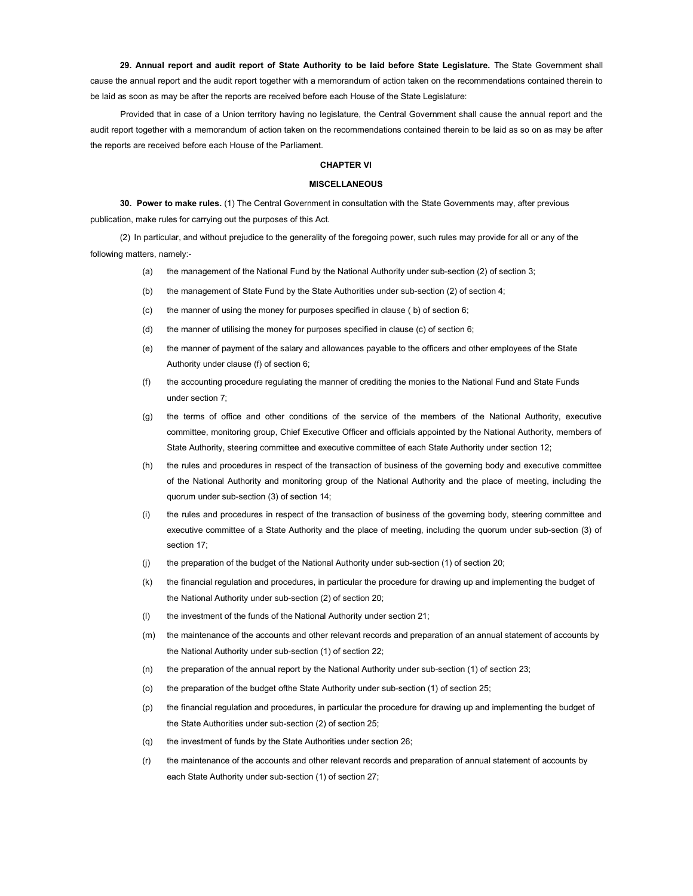29. Annual report and audit report of State Authority to be laid before State Legislature. The State Government shall cause the annual report and the audit report together with a memorandum of action taken on the recommendations contained therein to be laid as soon as may be after the reports are received before each House of the State Legislature:

Provided that in case of a Union territory having no legislature, the Central Government shall cause the annual report and the audit report together with a memorandum of action taken on the recommendations contained therein to be laid as so on as may be after the reports are received before each House of the Parliament.

### CHAPTER VI

#### MISCELLANEOUS

30. Power to make rules. (1) The Central Government in consultation with the State Governments may, after previous publication, make rules for carrying out the purposes of this Act.

(2) In particular, and without prejudice to the generality of the foregoing power, such rules may provide for all or any of the following matters, namely:-

- (a) the management of the National Fund by the National Authority under sub-section (2) of section 3;
- (b) the management of State Fund by the State Authorities under sub-section (2) of section 4;
- (c) the manner of using the money for purposes specified in clause ( b) of section 6;
- (d) the manner of utilising the money for purposes specified in clause (c) of section 6;
- (e) the manner of payment of the salary and allowances payable to the officers and other employees of the State Authority under clause (f) of section 6;
- (f) the accounting procedure regulating the manner of crediting the monies to the National Fund and State Funds under section 7;
- (g) the terms of office and other conditions of the service of the members of the National Authority, executive committee, monitoring group, Chief Executive Officer and officials appointed by the National Authority, members of State Authority, steering committee and executive committee of each State Authority under section 12;
- (h) the rules and procedures in respect of the transaction of business of the governing body and executive committee of the National Authority and monitoring group of the National Authority and the place of meeting, including the quorum under sub-section (3) of section 14;
- (i) the rules and procedures in respect of the transaction of business of the governing body, steering committee and executive committee of a State Authority and the place of meeting, including the quorum under sub-section (3) of section 17;
- (j) the preparation of the budget of the National Authority under sub-section (1) of section 20;
- (k) the financial regulation and procedures, in particular the procedure for drawing up and implementing the budget of the National Authority under sub-section (2) of section 20;
- (l) the investment of the funds of the National Authority under section 21;
- (m) the maintenance of the accounts and other relevant records and preparation of an annual statement of accounts by the National Authority under sub-section (1) of section 22;
- (n) the preparation of the annual report by the National Authority under sub-section (1) of section 23;
- (o) the preparation of the budget ofthe State Authority under sub-section (1) of section 25;
- (p) the financial regulation and procedures, in particular the procedure for drawing up and implementing the budget of the State Authorities under sub-section (2) of section 25;
- (q) the investment of funds by the State Authorities under section 26;
- (r) the maintenance of the accounts and other relevant records and preparation of annual statement of accounts by each State Authority under sub-section (1) of section 27;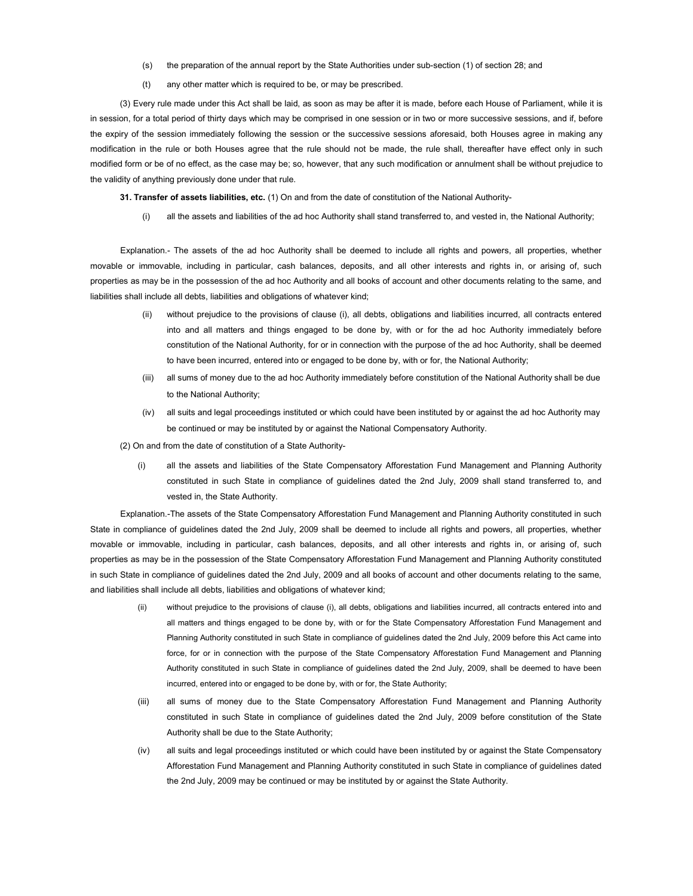- (s) the preparation of the annual report by the State Authorities under sub-section (1) of section 28; and
- (t) any other matter which is required to be, or may be prescribed.

(3) Every rule made under this Act shall be laid, as soon as may be after it is made, before each House of Parliament, while it is in session, for a total period of thirty days which may be comprised in one session or in two or more successive sessions, and if, before the expiry of the session immediately following the session or the successive sessions aforesaid, both Houses agree in making any modification in the rule or both Houses agree that the rule should not be made, the rule shall, thereafter have effect only in such modified form or be of no effect, as the case may be; so, however, that any such modification or annulment shall be without prejudice to the validity of anything previously done under that rule.

31. Transfer of assets liabilities, etc. (1) On and from the date of constitution of the National Authority-

(i) all the assets and liabilities of the ad hoc Authority shall stand transferred to, and vested in, the National Authority;

Explanation.- The assets of the ad hoc Authority shall be deemed to include all rights and powers, all properties, whether movable or immovable, including in particular, cash balances, deposits, and all other interests and rights in, or arising of, such properties as may be in the possession of the ad hoc Authority and all books of account and other documents relating to the same, and liabilities shall include all debts, liabilities and obligations of whatever kind;

- (ii) without prejudice to the provisions of clause (i), all debts, obligations and liabilities incurred, all contracts entered into and all matters and things engaged to be done by, with or for the ad hoc Authority immediately before constitution of the National Authority, for or in connection with the purpose of the ad hoc Authority, shall be deemed to have been incurred, entered into or engaged to be done by, with or for, the National Authority;
- (iii) all sums of money due to the ad hoc Authority immediately before constitution of the National Authority shall be due to the National Authority;
- (iv) all suits and legal proceedings instituted or which could have been instituted by or against the ad hoc Authority may be continued or may be instituted by or against the National Compensatory Authority.

(2) On and from the date of constitution of a State Authority-

(i) all the assets and liabilities of the State Compensatory Afforestation Fund Management and Planning Authority constituted in such State in compliance of guidelines dated the 2nd July, 2009 shall stand transferred to, and vested in, the State Authority.

Explanation.-The assets of the State Compensatory Afforestation Fund Management and Planning Authority constituted in such State in compliance of guidelines dated the 2nd July, 2009 shall be deemed to include all rights and powers, all properties, whether movable or immovable, including in particular, cash balances, deposits, and all other interests and rights in, or arising of, such properties as may be in the possession of the State Compensatory Afforestation Fund Management and Planning Authority constituted in such State in compliance of guidelines dated the 2nd July, 2009 and all books of account and other documents relating to the same, and liabilities shall include all debts, liabilities and obligations of whatever kind;

- (ii) without prejudice to the provisions of clause (i), all debts, obligations and liabilities incurred, all contracts entered into and all matters and things engaged to be done by, with or for the State Compensatory Afforestation Fund Management and Planning Authority constituted in such State in compliance of guidelines dated the 2nd July, 2009 before this Act came into force, for or in connection with the purpose of the State Compensatory Afforestation Fund Management and Planning Authority constituted in such State in compliance of guidelines dated the 2nd July, 2009, shall be deemed to have been incurred, entered into or engaged to be done by, with or for, the State Authority;
- (iii) all sums of money due to the State Compensatory Afforestation Fund Management and Planning Authority constituted in such State in compliance of guidelines dated the 2nd July, 2009 before constitution of the State Authority shall be due to the State Authority;
- (iv) all suits and legal proceedings instituted or which could have been instituted by or against the State Compensatory Afforestation Fund Management and Planning Authority constituted in such State in compliance of guidelines dated the 2nd July, 2009 may be continued or may be instituted by or against the State Authority.